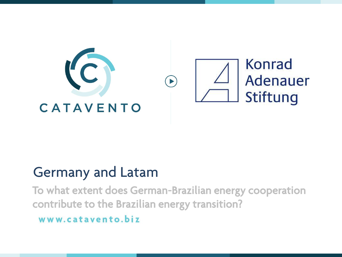

Germany and Latam<br>To what extent does German-Brazilian energy cooperation contribute to the Brazilian energy transition?

www.catavento.biz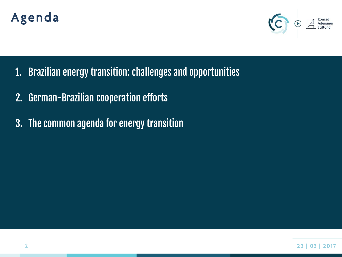# Agenda



- 1. Brazilian energy transition: challenges and opportunities
- 2. German-Brazilian cooperation efforts
- 3. The common agenda for energy transition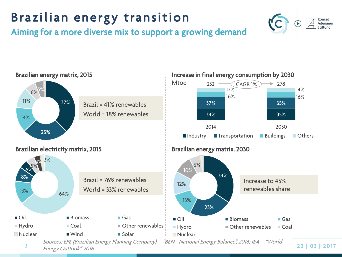## are the control of the control of the control of the control of the control of the control of the control of the control of the control of the control of the control of the control of the control of the control of the cont Aiming for a more diverse mix to support a growing demand





**Energy Outlook**", 2016 sources: EPE (Brazilian Energy Planning Company) – "BEN - National Energy Balance", 2016; IEA – "World"<br>Nuclear World Sources: EPE (Brazilian Energy Planning Company) – "BEN - National Energy Balance", 2016; IEA – "World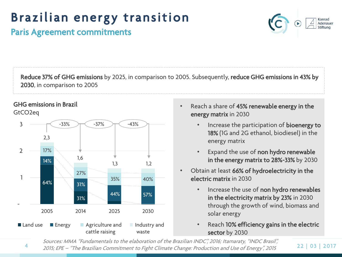

Paris Agreement commitments Paris Agreement commitments

 $R_{\text{F}}$  of GHG emissions by  $(10^{-10})$ , i.e.,  $\frac{1}{2000}$ ,  $\frac{1}{2000}$ ,  $\frac{1}{2000}$ ,  $\frac{1}{2000}$ ,  $\frac{1}{2000}$ 2030, in comparison to 2005

### **GHG emissions in Brazil**

GtCO<sub>2eq</sub>



- Reach a share of 45% renewable energy in the energy matrix in 2030
	- Increase the participation of **bioenergy to**<br>18% (IG and 2G ethanol, biodiesel) in the 18% (1G and 2G ethanol, biodiesel) in the energy matrix energy matrix
	- Expand the use of **non hydro renewable**<br>in the energy matrix to 28%-33% by 2030  $\cdots$  the energy matrix to  $28$   $\cdots$  2030  $\cdots$
- Obtain at least 66% of hydroelectricity in the<br>electric matrix in 2030 electric matrix in 2030
	- Increase the use of **non hydro renewables**<br>in the electricity matrix by 23% in 2030 in the electricity matrix by 23% in 2030<br>through the growth of wind, biomass and solar energy
	- solar energy • Reach 10% efficiency gains in the electric<br>sector by 2030

4 2 2 | 0 3 | 2 0 1 7 2015; EPE – "The Brazilian Commitment to Fight Climate Change: Production and Use of Energy", <sup>2015</sup> Sources: MMA "Fundamentals to the elaboration of the Brazilian INDC", 2016; Itamaraty, "INDC Brasil", sector by 2030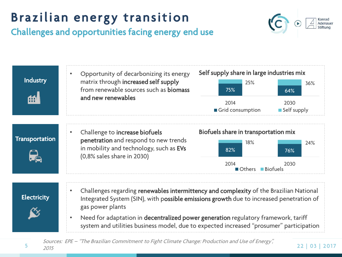## **EXECT CONSUMER STATES IN A PROPERTY OF A PROPERTY OF A PROPERTY CONSUMING** Challenges and opportunities facing energy end use





 $\frac{2015}{2015}$ Sources: EPE – "The Brazilian Commitment to Fight Climate Change: Production and Use of Energy", 2015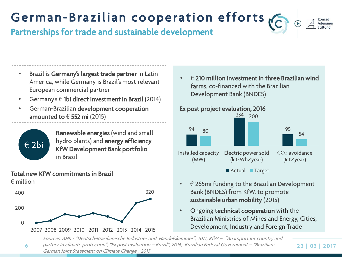

Partnerships for trade and sustainable development Partnerships for trade and sustainable development

- Brazil is Germany's largest trade partner in Latin<br>America, while Germany is Brazil's most relevant European commercial partner
- $\epsilon$  european commercial partnership articles in the set of the set of the set of the set of the set of the set of the set of the set of the set of the set of the set of the set of the set of the set of the set of the set • Germany's **€** 1bi direct investment in Brazil (2014)
- German-Brazilian development cooperation amounted to **€** 552 mi (2015)



Renewable energies (wind and small<br>hydro plants) and energy efficiency my are plantly and energy efficiency.<br>KfW Development Bank portfolio ment Bereic process Bank per mente.<br>in Brazil in Brazil

### Total new KfW commitments in Brazil  $\epsilon$  million



• **€** 210 million investment in three Brazilian wind Development Bank (BNDES)



- $\in$  265mi funding to the Brazilian Development<br>Bank (BNDES) from KfW, to promote sustainable urban mobility (2015)
- sustainable urban mobility (2015) • Ongoing **technical cooperation** with the<br>Brazilian Ministries of Mines and Energy Brazilian Ministries of Mines and Energy, Cities,  $D^2$  and  $F^2$  and  $F^2$  and  $F^2$  and  $F^2$

6 2 2 | 0 3 | 2 0 1 7 German Joint Statement on Climate Change", 2015 .<br>Sources: AHK - ^Deutsch-Brasilianische Industrie- und Handelskammer", 2017; KfW – "An important country and partner in climate protection", "Ex post evaluation – Brazil", 2016; Brazilian Federal Government – "Brazilian-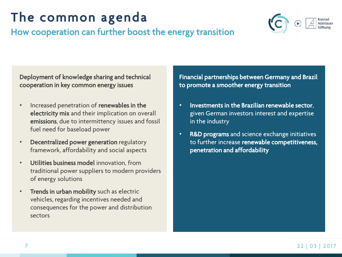## How cooperation can further boost  $H(x)$  cooperation can further boost the energy transition



**Deproyment of knowledge sharing and technical** cooperation in the common energy issues

- Increased penetration of **renewables in the**<br>**electricity mix** and their implication on overall emissions, due to intermittency issues and fossil fuel need for baseload power fuel need for baseload power
- Decentralized power generation regulatory framework, affordability and social aspects
- Utilities business model innovation, from<br>traditional power suppliers to modern providers of energy solutions of energy solutions
- Trends in urban mobility such as electric<br>vehicles, regarding incentives needed and vehicles, regarding incentives needed and consequences for the power and distribution.<br>sectors sectors

Financial partnerships between Germany and Brazil. to promote a smoother energy transition

- Investments in the Brazilian renewable sector, in the industry in the industry
- R&D programs and science exchange initiatives to further increase renewable competitiveness, penetration and affordability